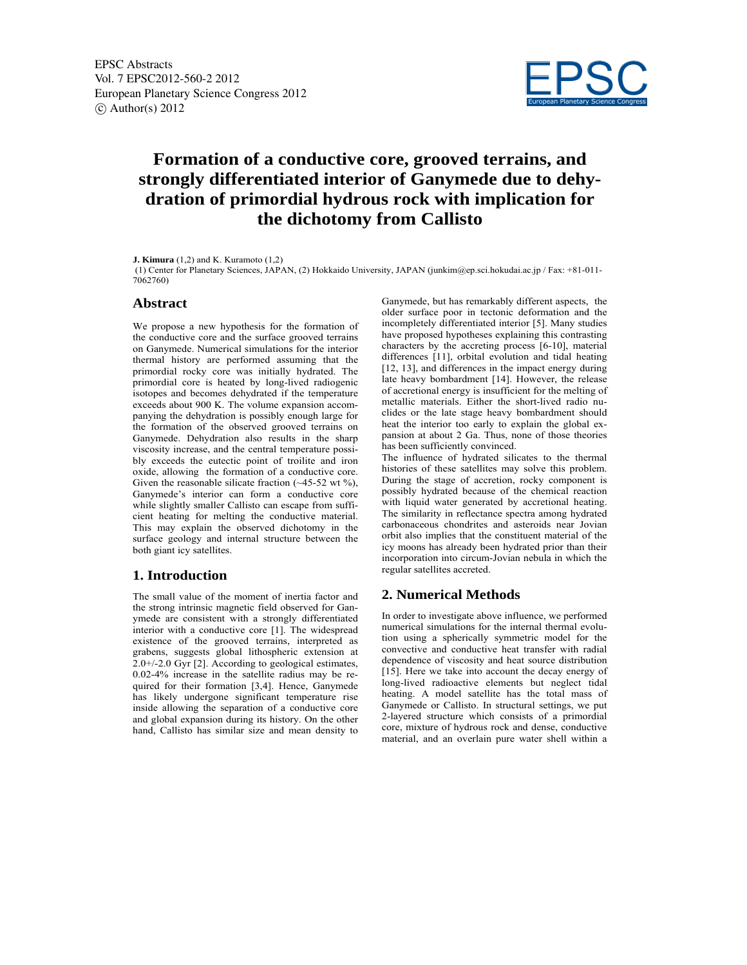

# **Formation of a conductive core, grooved terrains, and strongly differentiated interior of Ganymede due to dehydration of primordial hydrous rock with implication for the dichotomy from Callisto**

**J. Kimura** (1,2) and K. Kuramoto (1,2)

 (1) Center for Planetary Sciences, JAPAN, (2) Hokkaido University, JAPAN (junkim@ep.sci.hokudai.ac.jp / Fax: +81-011- 7062760)

#### **Abstract**

We propose a new hypothesis for the formation of the conductive core and the surface grooved terrains on Ganymede. Numerical simulations for the interior thermal history are performed assuming that the primordial rocky core was initially hydrated. The primordial core is heated by long-lived radiogenic isotopes and becomes dehydrated if the temperature exceeds about 900 K. The volume expansion accompanying the dehydration is possibly enough large for the formation of the observed grooved terrains on Ganymede. Dehydration also results in the sharp viscosity increase, and the central temperature possibly exceeds the eutectic point of troilite and iron oxide, allowing the formation of a conductive core. Given the reasonable silicate fraction  $(\sim 45-52 \text{ wt } \%),$ Ganymede's interior can form a conductive core while slightly smaller Callisto can escape from sufficient heating for melting the conductive material. This may explain the observed dichotomy in the surface geology and internal structure between the both giant icy satellites.

### **1. Introduction**

The small value of the moment of inertia factor and the strong intrinsic magnetic field observed for Ganymede are consistent with a strongly differentiated interior with a conductive core [1]. The widespread existence of the grooved terrains, interpreted as grabens, suggests global lithospheric extension at 2.0+/-2.0 Gyr [2]. According to geological estimates, 0.02-4% increase in the satellite radius may be required for their formation [3,4]. Hence, Ganymede has likely undergone significant temperature rise inside allowing the separation of a conductive core and global expansion during its history. On the other hand, Callisto has similar size and mean density to

Ganymede, but has remarkably different aspects, the older surface poor in tectonic deformation and the incompletely differentiated interior [5]. Many studies have proposed hypotheses explaining this contrasting characters by the accreting process [6-10], material differences [11], orbital evolution and tidal heating [12, 13], and differences in the impact energy during late heavy bombardment [14]. However, the release of accretional energy is insufficient for the melting of metallic materials. Either the short-lived radio nuclides or the late stage heavy bombardment should heat the interior too early to explain the global expansion at about 2 Ga. Thus, none of those theories has been sufficiently convinced.

The influence of hydrated silicates to the thermal histories of these satellites may solve this problem. During the stage of accretion, rocky component is possibly hydrated because of the chemical reaction with liquid water generated by accretional heating. The similarity in reflectance spectra among hydrated carbonaceous chondrites and asteroids near Jovian orbit also implies that the constituent material of the icy moons has already been hydrated prior than their incorporation into circum-Jovian nebula in which the regular satellites accreted.

### **2. Numerical Methods**

In order to investigate above influence, we performed numerical simulations for the internal thermal evolution using a spherically symmetric model for the convective and conductive heat transfer with radial dependence of viscosity and heat source distribution [15]. Here we take into account the decay energy of long-lived radioactive elements but neglect tidal heating. A model satellite has the total mass of Ganymede or Callisto. In structural settings, we put 2-layered structure which consists of a primordial core, mixture of hydrous rock and dense, conductive material, and an overlain pure water shell within a